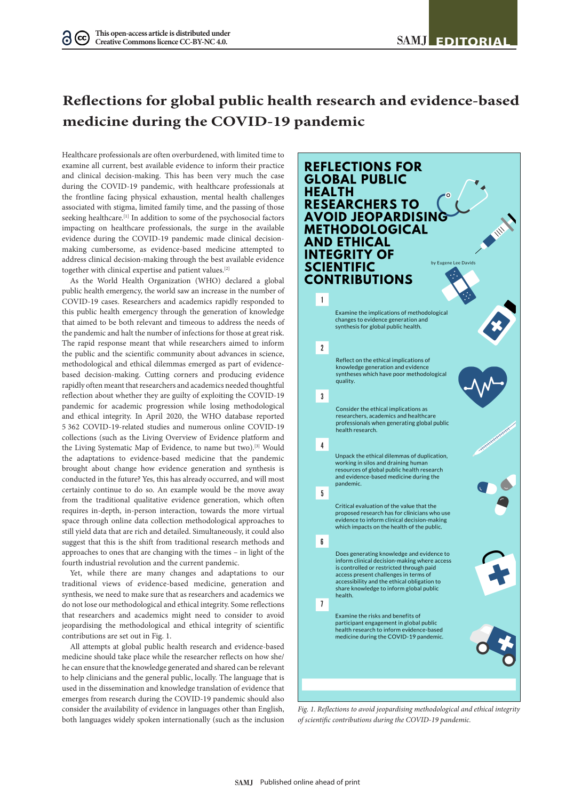## **Reflections for global public health research and evidence-based medicine during the COVID-19 pandemic**

Healthcare professionals are often overburdened, with limited time to examine all current, best available evidence to inform their practice and clinical decision-making. This has been very much the case during the COVID-19 pandemic, with healthcare professionals at the frontline facing physical exhaustion, mental health challenges associated with stigma, limited family time, and the passing of those seeking healthcare.<sup>[1]</sup> In addition to some of the psychosocial factors impacting on healthcare professionals, the surge in the available evidence during the COVID-19 pandemic made clinical decisionmaking cumbersome, as evidence-based medicine attempted to address clinical decision-making through the best available evidence together with clinical expertise and patient values.[2]

As the World Health Organization (WHO) declared a global public health emergency, the world saw an increase in the number of COVID-19 cases. Researchers and academics rapidly responded to this public health emergency through the generation of knowledge that aimed to be both relevant and timeous to address the needs of the pandemic and halt the number of infections for those at great risk. The rapid response meant that while researchers aimed to inform the public and the scientific community about advances in science, methodological and ethical dilemmas emerged as part of evidencebased decision-making. Cutting corners and producing evidence rapidly often meant that researchers and academics needed thoughtful reflection about whether they are guilty of exploiting the COVID-19 pandemic for academic progression while losing methodological and ethical integrity. In April 2020, the WHO database reported 5 362 COVID-19-related studies and numerous online COVID-19 collections (such as the Living Overview of Evidence platform and the Living Systematic Map of Evidence, to name but two).[3] Would the adaptations to evidence-based medicine that the pandemic brought about change how evidence generation and synthesis is conducted in the future? Yes, this has already occurred, and will most certainly continue to do so. An example would be the move away from the traditional qualitative evidence generation, which often requires in-depth, in-person interaction, towards the more virtual space through online data collection methodological approaches to still yield data that are rich and detailed. Simultaneously, it could also suggest that this is the shift from traditional research methods and approaches to ones that are changing with the times – in light of the fourth industrial revolution and the current pandemic.

Yet, while there are many changes and adaptations to our traditional views of evidence-based medicine, generation and synthesis, we need to make sure that as researchers and academics we do not lose our methodological and ethical integrity. Some reflections that researchers and academics might need to consider to avoid jeopardising the methodological and ethical integrity of scientific contributions are set out in Fig. 1.

All attempts at global public health research and evidence-based medicine should take place while the researcher reflects on how she/ he can ensure that the knowledge generated and shared can be relevant to help clinicians and the general public, locally. The language that is used in the dissemination and knowledge translation of evidence that emerges from research during the COVID-19 pandemic should also consider the availability of evidence in languages other than English, both languages widely spoken internationally (such as the inclusion



*Fig. 1. Reflections to avoid jeopardising methodological and ethical integrity of scientific contributions during the COVID-19 pandemic.*